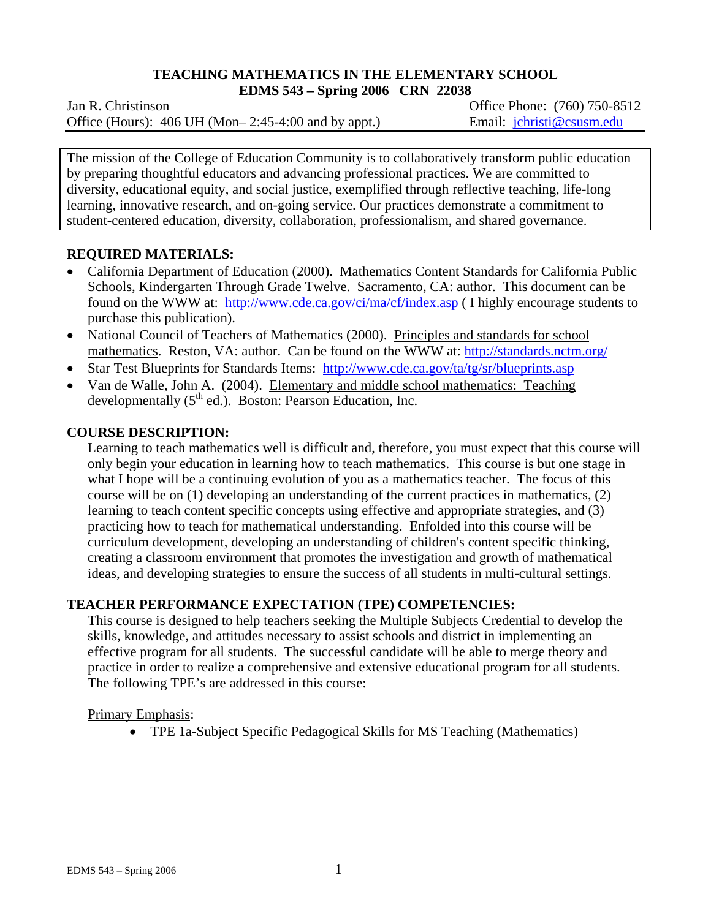## **TEACHING MATHEMATICS IN THE ELEMENTARY SCHOOL EDMS 543 – Spring 2006 CRN 22038**

Jan R. ChristinsonOffice Phone: (760) 750-8512 Office (Hours): 406 UH (Mon–2:45-4:00 and by appt.) Email: jchristi@csusm.edu

The mission of the College of Education Community is to collaboratively transform public education by preparing thoughtful educators and advancing professional practices. We are committed to diversity, educational equity, and social justice, exemplified through reflective teaching, life-long learning, innovative research, and on-going service. Our practices demonstrate a commitment to student-centered education, diversity, collaboration, professionalism, and shared governance.

# **REQUIRED MATERIALS:**

- California Department of Education (2000). Mathematics Content Standards for California Public Schools, Kindergarten Through Grade Twelve. Sacramento, CA: author. This document can be found on the WWW at: http://www.cde.ca.gov/ci/ma/cf/index.asp ( I highly encourage students to purchase this publication).
- National Council of Teachers of Mathematics (2000). Principles and standards for school mathematics. Reston, VA: author. Can be found on the WWW at: http://standards.nctm.org/
- Star Test Blueprints for Standards Items: http://www.cde.ca.gov/ta/tg/sr/blueprints.asp
- Van de Walle, John A. (2004). Elementary and middle school mathematics: Teaching developmentally  $(5<sup>th</sup>$  ed.). Boston: Pearson Education, Inc.

# **COURSE DESCRIPTION:**

Learning to teach mathematics well is difficult and, therefore, you must expect that this course will only begin your education in learning how to teach mathematics. This course is but one stage in what I hope will be a continuing evolution of you as a mathematics teacher. The focus of this course will be on (1) developing an understanding of the current practices in mathematics, (2) learning to teach content specific concepts using effective and appropriate strategies, and (3) practicing how to teach for mathematical understanding. Enfolded into this course will be curriculum development, developing an understanding of children's content specific thinking, creating a classroom environment that promotes the investigation and growth of mathematical ideas, and developing strategies to ensure the success of all students in multi-cultural settings.

# **TEACHER PERFORMANCE EXPECTATION (TPE) COMPETENCIES:**

This course is designed to help teachers seeking the Multiple Subjects Credential to develop the skills, knowledge, and attitudes necessary to assist schools and district in implementing an effective program for all students. The successful candidate will be able to merge theory and practice in order to realize a comprehensive and extensive educational program for all students. The following TPE's are addressed in this course:

## Primary Emphasis:

• TPE 1a-Subject Specific Pedagogical Skills for MS Teaching (Mathematics)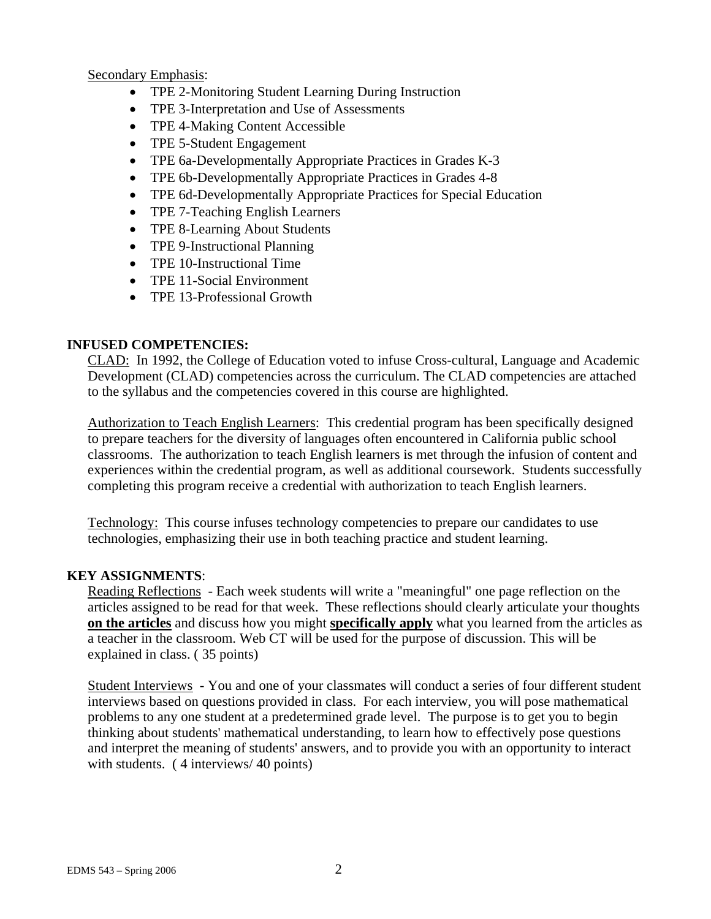Secondary Emphasis:

- TPE 2-Monitoring Student Learning During Instruction
- TPE 3-Interpretation and Use of Assessments
- TPE 4-Making Content Accessible
- TPE 5-Student Engagement
- TPE 6a-Developmentally Appropriate Practices in Grades K-3
- TPE 6b-Developmentally Appropriate Practices in Grades 4-8
- TPE 6d-Developmentally Appropriate Practices for Special Education
- TPE 7-Teaching English Learners
- TPE 8-Learning About Students
- TPE 9-Instructional Planning
- TPE 10-Instructional Time
- TPE 11-Social Environment
- TPE 13-Professional Growth

# **INFUSED COMPETENCIES:**

CLAD: In 1992, the College of Education voted to infuse Cross-cultural, Language and Academic Development (CLAD) competencies across the curriculum. The CLAD competencies are attached to the syllabus and the competencies covered in this course are highlighted.

Authorization to Teach English Learners: This credential program has been specifically designed to prepare teachers for the diversity of languages often encountered in California public school classrooms. The authorization to teach English learners is met through the infusion of content and experiences within the credential program, as well as additional coursework. Students successfully completing this program receive a credential with authorization to teach English learners.

Technology: This course infuses technology competencies to prepare our candidates to use technologies, emphasizing their use in both teaching practice and student learning.

# **KEY ASSIGNMENTS**:

Reading Reflections - Each week students will write a "meaningful" one page reflection on the articles assigned to be read for that week. These reflections should clearly articulate your thoughts **on the articles** and discuss how you might **specifically apply** what you learned from the articles as a teacher in the classroom. Web CT will be used for the purpose of discussion. This will be explained in class. ( 35 points)

Student Interviews - You and one of your classmates will conduct a series of four different student interviews based on questions provided in class. For each interview, you will pose mathematical problems to any one student at a predetermined grade level. The purpose is to get you to begin thinking about students' mathematical understanding, to learn how to effectively pose questions and interpret the meaning of students' answers, and to provide you with an opportunity to interact with students. (4 interviews/ 40 points)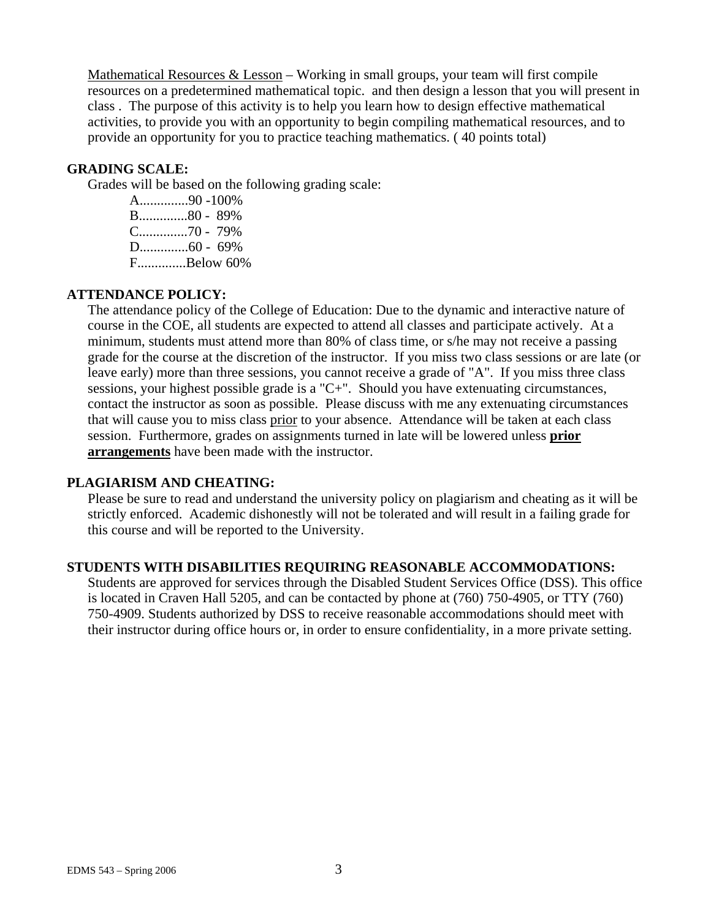Mathematical Resources & Lesson – Working in small groups, your team will first compile resources on a predetermined mathematical topic. and then design a lesson that you will present in class . The purpose of this activity is to help you learn how to design effective mathematical activities, to provide you with an opportunity to begin compiling mathematical resources, and to provide an opportunity for you to practice teaching mathematics. ( 40 points total)

#### **GRADING SCALE:**

Grades will be based on the following grading scale:

A..............90 -100% B..............80 - 89% C..............70 - 79% D..............60 - 69% F..............Below 60%

### **ATTENDANCE POLICY:**

The attendance policy of the College of Education: Due to the dynamic and interactive nature of course in the COE, all students are expected to attend all classes and participate actively. At a minimum, students must attend more than 80% of class time, or s/he may not receive a passing grade for the course at the discretion of the instructor. If you miss two class sessions or are late (or leave early) more than three sessions, you cannot receive a grade of "A". If you miss three class sessions, your highest possible grade is a "C+". Should you have extenuating circumstances, contact the instructor as soon as possible. Please discuss with me any extenuating circumstances that will cause you to miss class prior to your absence. Attendance will be taken at each class session. Furthermore, grades on assignments turned in late will be lowered unless **prior arrangements** have been made with the instructor.

#### **PLAGIARISM AND CHEATING:**

Please be sure to read and understand the university policy on plagiarism and cheating as it will be strictly enforced. Academic dishonestly will not be tolerated and will result in a failing grade for this course and will be reported to the University.

#### **STUDENTS WITH DISABILITIES REQUIRING REASONABLE ACCOMMODATIONS:**

Students are approved for services through the Disabled Student Services Office (DSS). This office is located in Craven Hall 5205, and can be contacted by phone at (760) 750-4905, or TTY (760) 750-4909. Students authorized by DSS to receive reasonable accommodations should meet with their instructor during office hours or, in order to ensure confidentiality, in a more private setting.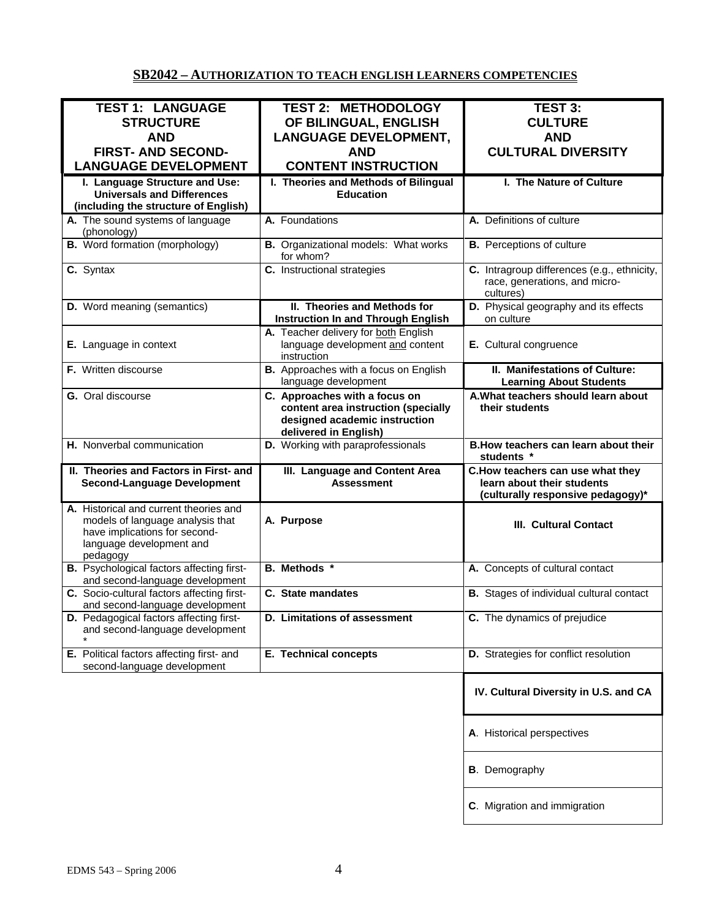# **SB2042 – AUTHORIZATION TO TEACH ENGLISH LEARNERS COMPETENCIES**

| <b>TEST 1: LANGUAGE</b>                                                                                                                             | <b>TEST 2: METHODOLOGY</b>                                                                                                     | TEST 3:                                                                                             |
|-----------------------------------------------------------------------------------------------------------------------------------------------------|--------------------------------------------------------------------------------------------------------------------------------|-----------------------------------------------------------------------------------------------------|
| <b>STRUCTURE</b>                                                                                                                                    | OF BILINGUAL, ENGLISH                                                                                                          | <b>CULTURE</b>                                                                                      |
| <b>AND</b>                                                                                                                                          | <b>LANGUAGE DEVELOPMENT,</b>                                                                                                   | <b>AND</b>                                                                                          |
| <b>FIRST- AND SECOND-</b>                                                                                                                           | <b>AND</b>                                                                                                                     | <b>CULTURAL DIVERSITY</b>                                                                           |
|                                                                                                                                                     |                                                                                                                                |                                                                                                     |
| <b>LANGUAGE DEVELOPMENT</b>                                                                                                                         | <b>CONTENT INSTRUCTION</b>                                                                                                     |                                                                                                     |
| I. Language Structure and Use:                                                                                                                      | I. Theories and Methods of Bilingual                                                                                           | I. The Nature of Culture                                                                            |
| <b>Universals and Differences</b>                                                                                                                   | <b>Education</b>                                                                                                               |                                                                                                     |
| (including the structure of English)                                                                                                                |                                                                                                                                |                                                                                                     |
| A. The sound systems of language                                                                                                                    | A. Foundations                                                                                                                 | A. Definitions of culture                                                                           |
| (phonology)                                                                                                                                         |                                                                                                                                |                                                                                                     |
| <b>B.</b> Word formation (morphology)                                                                                                               | <b>B.</b> Organizational models: What works<br>for whom?                                                                       | <b>B.</b> Perceptions of culture                                                                    |
| C. Syntax                                                                                                                                           | C. Instructional strategies                                                                                                    | C. Intragroup differences (e.g., ethnicity,<br>race, generations, and micro-                        |
|                                                                                                                                                     |                                                                                                                                | cultures)                                                                                           |
| D. Word meaning (semantics)                                                                                                                         | II. Theories and Methods for<br><b>Instruction In and Through English</b>                                                      | D. Physical geography and its effects<br>on culture                                                 |
|                                                                                                                                                     | A. Teacher delivery for both English                                                                                           |                                                                                                     |
| E. Language in context                                                                                                                              | language development and content<br>instruction                                                                                | E. Cultural congruence                                                                              |
| F. Written discourse                                                                                                                                | B. Approaches with a focus on English<br>language development                                                                  | II. Manifestations of Culture:<br><b>Learning About Students</b>                                    |
| G. Oral discourse                                                                                                                                   | C. Approaches with a focus on<br>content area instruction (specially<br>designed academic instruction<br>delivered in English) | A. What teachers should learn about<br>their students                                               |
| H. Nonverbal communication                                                                                                                          | D. Working with paraprofessionals                                                                                              | B. How teachers can learn about their<br>students *                                                 |
| II. Theories and Factors in First- and<br><b>Second-Language Development</b>                                                                        | III. Language and Content Area<br><b>Assessment</b>                                                                            | C.How teachers can use what they<br>learn about their students<br>(culturally responsive pedagogy)* |
| A. Historical and current theories and<br>models of language analysis that<br>have implications for second-<br>language development and<br>pedagogy | A. Purpose                                                                                                                     | <b>III. Cultural Contact</b>                                                                        |
| <b>B.</b> Psychological factors affecting first-<br>and second-language development                                                                 | <b>B.</b> Methods *                                                                                                            | A. Concepts of cultural contact                                                                     |
| C. Socio-cultural factors affecting first-<br>and second-language development                                                                       | C. State mandates                                                                                                              | B. Stages of individual cultural contact                                                            |
| D. Pedagogical factors affecting first-<br>and second-language development                                                                          | <b>D. Limitations of assessment</b>                                                                                            | C. The dynamics of prejudice                                                                        |
| E. Political factors affecting first- and<br>second-language development                                                                            | <b>E. Technical concepts</b>                                                                                                   | D. Strategies for conflict resolution                                                               |
|                                                                                                                                                     |                                                                                                                                | IV. Cultural Diversity in U.S. and CA                                                               |
|                                                                                                                                                     |                                                                                                                                | A. Historical perspectives                                                                          |
|                                                                                                                                                     |                                                                                                                                | <b>B.</b> Demography                                                                                |
|                                                                                                                                                     |                                                                                                                                | C. Migration and immigration                                                                        |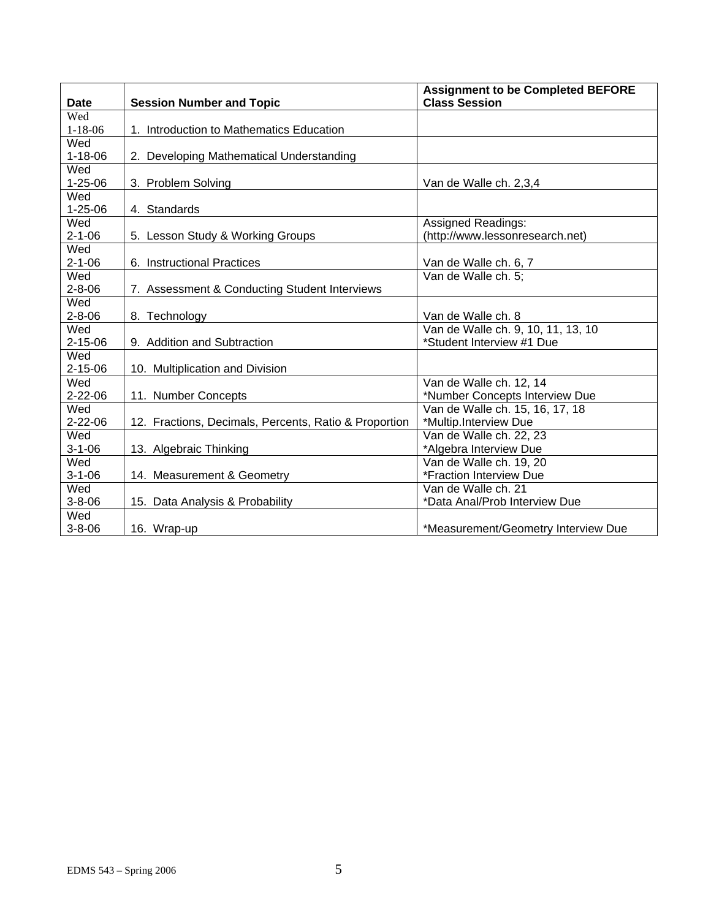| <b>Date</b>   | <b>Session Number and Topic</b>                       | <b>Assignment to be Completed BEFORE</b><br><b>Class Session</b> |
|---------------|-------------------------------------------------------|------------------------------------------------------------------|
| Wed           |                                                       |                                                                  |
| $1 - 18 - 06$ | 1. Introduction to Mathematics Education              |                                                                  |
| Wed           |                                                       |                                                                  |
| $1 - 18 - 06$ | 2. Developing Mathematical Understanding              |                                                                  |
| Wed           |                                                       |                                                                  |
| $1 - 25 - 06$ | 3. Problem Solving                                    | Van de Walle ch. 2,3,4                                           |
| Wed           |                                                       |                                                                  |
| $1 - 25 - 06$ | 4. Standards                                          |                                                                  |
| Wed           |                                                       | <b>Assigned Readings:</b>                                        |
| $2 - 1 - 06$  | 5. Lesson Study & Working Groups                      | (http://www.lessonresearch.net)                                  |
| Wed           |                                                       |                                                                  |
| $2 - 1 - 06$  | 6. Instructional Practices                            | Van de Walle ch. 6, 7                                            |
| Wed           |                                                       | Van de Walle ch. 5:                                              |
| $2 - 8 - 06$  | 7. Assessment & Conducting Student Interviews         |                                                                  |
| Wed           |                                                       |                                                                  |
| $2 - 8 - 06$  | 8. Technology                                         | Van de Walle ch. 8                                               |
| Wed           |                                                       | Van de Walle ch. 9, 10, 11, 13, 10                               |
| $2 - 15 - 06$ | 9. Addition and Subtraction                           | *Student Interview #1 Due                                        |
| Wed           |                                                       |                                                                  |
| $2 - 15 - 06$ | 10. Multiplication and Division                       |                                                                  |
| Wed           |                                                       | Van de Walle ch. 12, 14                                          |
| $2 - 22 - 06$ | 11. Number Concepts                                   | *Number Concepts Interview Due                                   |
| Wed           |                                                       | Van de Walle ch. 15, 16, 17, 18                                  |
| $2 - 22 - 06$ | 12. Fractions, Decimals, Percents, Ratio & Proportion | *Multip.Interview Due                                            |
| Wed           |                                                       | Van de Walle ch. 22, 23                                          |
| $3 - 1 - 06$  | 13. Algebraic Thinking                                | *Algebra Interview Due                                           |
| Wed           |                                                       | Van de Walle ch. 19, 20                                          |
| $3 - 1 - 06$  | 14. Measurement & Geometry                            | *Fraction Interview Due                                          |
| Wed           |                                                       | Van de Walle ch. 21                                              |
| $3 - 8 - 06$  | 15. Data Analysis & Probability                       | *Data Anal/Prob Interview Due                                    |
| Wed           |                                                       |                                                                  |
| $3 - 8 - 06$  | 16. Wrap-up                                           | *Measurement/Geometry Interview Due                              |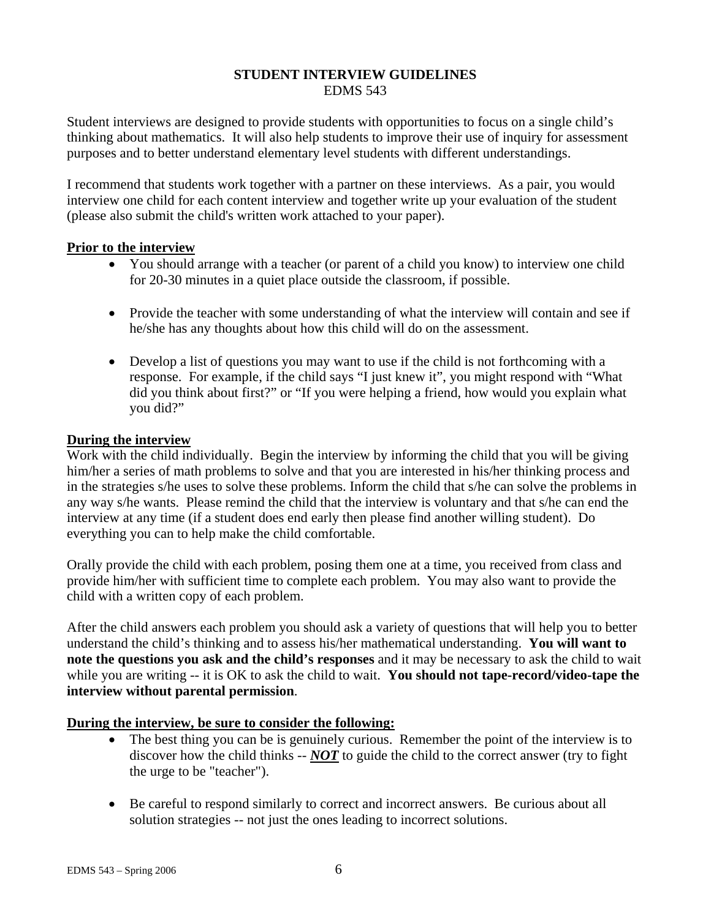#### **STUDENT INTERVIEW GUIDELINES**  EDMS 543

Student interviews are designed to provide students with opportunities to focus on a single child's thinking about mathematics. It will also help students to improve their use of inquiry for assessment purposes and to better understand elementary level students with different understandings.

I recommend that students work together with a partner on these interviews. As a pair, you would interview one child for each content interview and together write up your evaluation of the student (please also submit the child's written work attached to your paper).

## **Prior to the interview**

- You should arrange with a teacher (or parent of a child you know) to interview one child for 20-30 minutes in a quiet place outside the classroom, if possible.
- Provide the teacher with some understanding of what the interview will contain and see if he/she has any thoughts about how this child will do on the assessment.
- Develop a list of questions you may want to use if the child is not forthcoming with a response. For example, if the child says "I just knew it", you might respond with "What did you think about first?" or "If you were helping a friend, how would you explain what you did?"

#### **During the interview**

Work with the child individually. Begin the interview by informing the child that you will be giving him/her a series of math problems to solve and that you are interested in his/her thinking process and in the strategies s/he uses to solve these problems. Inform the child that s/he can solve the problems in any way s/he wants. Please remind the child that the interview is voluntary and that s/he can end the interview at any time (if a student does end early then please find another willing student). Do everything you can to help make the child comfortable.

Orally provide the child with each problem, posing them one at a time, you received from class and provide him/her with sufficient time to complete each problem. You may also want to provide the child with a written copy of each problem.

After the child answers each problem you should ask a variety of questions that will help you to better understand the child's thinking and to assess his/her mathematical understanding. **You will want to note the questions you ask and the child's responses** and it may be necessary to ask the child to wait while you are writing -- it is OK to ask the child to wait. **You should not tape-record/video-tape the interview without parental permission**.

## **During the interview, be sure to consider the following:**

- The best thing you can be is genuinely curious. Remember the point of the interview is to discover how the child thinks -- *NOT* to guide the child to the correct answer (try to fight the urge to be "teacher").
- Be careful to respond similarly to correct and incorrect answers. Be curious about all solution strategies -- not just the ones leading to incorrect solutions.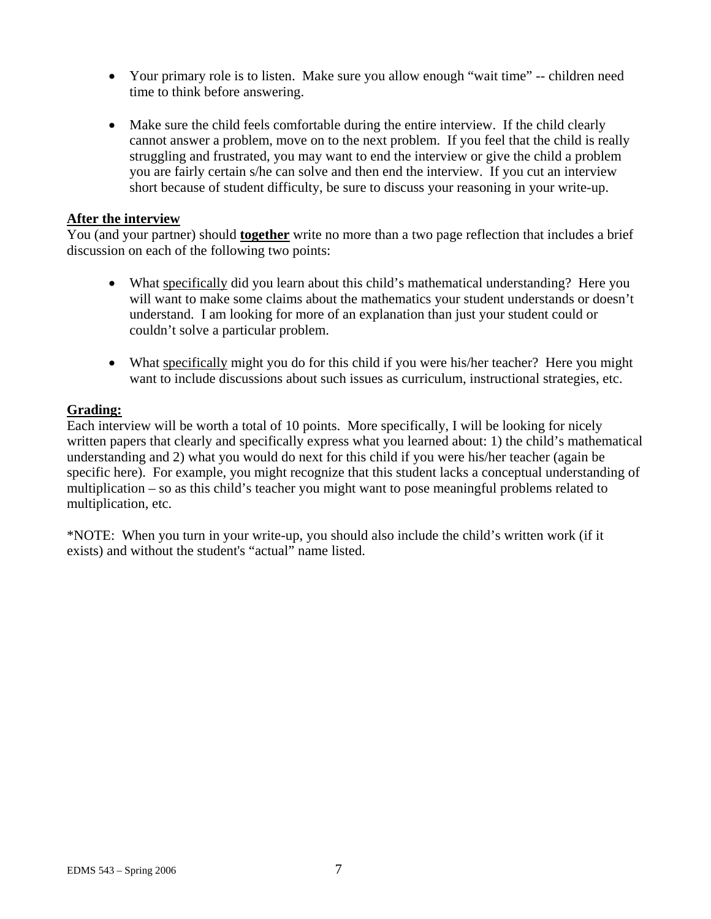- Your primary role is to listen. Make sure you allow enough "wait time" -- children need time to think before answering.
- Make sure the child feels comfortable during the entire interview. If the child clearly cannot answer a problem, move on to the next problem. If you feel that the child is really struggling and frustrated, you may want to end the interview or give the child a problem you are fairly certain s/he can solve and then end the interview. If you cut an interview short because of student difficulty, be sure to discuss your reasoning in your write-up.

#### **After the interview**

You (and your partner) should **together** write no more than a two page reflection that includes a brief discussion on each of the following two points:

- What specifically did you learn about this child's mathematical understanding? Here you will want to make some claims about the mathematics your student understands or doesn't understand. I am looking for more of an explanation than just your student could or couldn't solve a particular problem.
- What specifically might you do for this child if you were his/her teacher? Here you might want to include discussions about such issues as curriculum, instructional strategies, etc.

# **Grading:**

Each interview will be worth a total of 10 points. More specifically, I will be looking for nicely written papers that clearly and specifically express what you learned about: 1) the child's mathematical understanding and 2) what you would do next for this child if you were his/her teacher (again be specific here). For example, you might recognize that this student lacks a conceptual understanding of multiplication – so as this child's teacher you might want to pose meaningful problems related to multiplication, etc.

\*NOTE: When you turn in your write-up, you should also include the child's written work (if it exists) and without the student's "actual" name listed.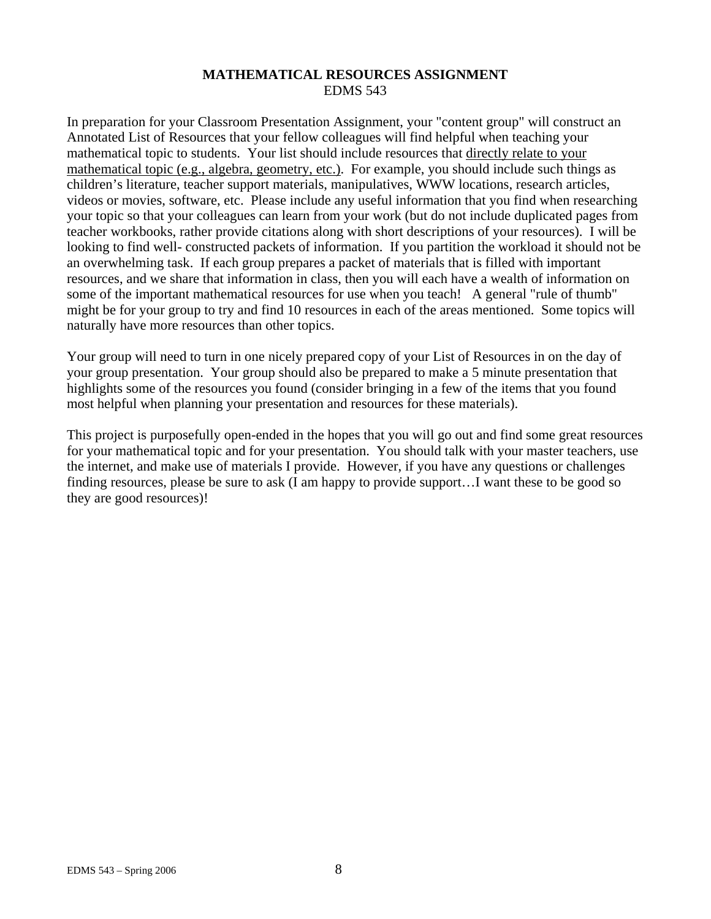## **MATHEMATICAL RESOURCES ASSIGNMENT**  EDMS 543

In preparation for your Classroom Presentation Assignment, your "content group" will construct an Annotated List of Resources that your fellow colleagues will find helpful when teaching your mathematical topic to students. Your list should include resources that directly relate to your mathematical topic (e.g., algebra, geometry, etc.). For example, you should include such things as children's literature, teacher support materials, manipulatives, WWW locations, research articles, videos or movies, software, etc. Please include any useful information that you find when researching your topic so that your colleagues can learn from your work (but do not include duplicated pages from teacher workbooks, rather provide citations along with short descriptions of your resources). I will be looking to find well- constructed packets of information. If you partition the workload it should not be an overwhelming task. If each group prepares a packet of materials that is filled with important resources, and we share that information in class, then you will each have a wealth of information on some of the important mathematical resources for use when you teach! A general "rule of thumb" might be for your group to try and find 10 resources in each of the areas mentioned. Some topics will naturally have more resources than other topics.

Your group will need to turn in one nicely prepared copy of your List of Resources in on the day of your group presentation. Your group should also be prepared to make a 5 minute presentation that highlights some of the resources you found (consider bringing in a few of the items that you found most helpful when planning your presentation and resources for these materials).

This project is purposefully open-ended in the hopes that you will go out and find some great resources for your mathematical topic and for your presentation. You should talk with your master teachers, use the internet, and make use of materials I provide. However, if you have any questions or challenges finding resources, please be sure to ask (I am happy to provide support…I want these to be good so they are good resources)!